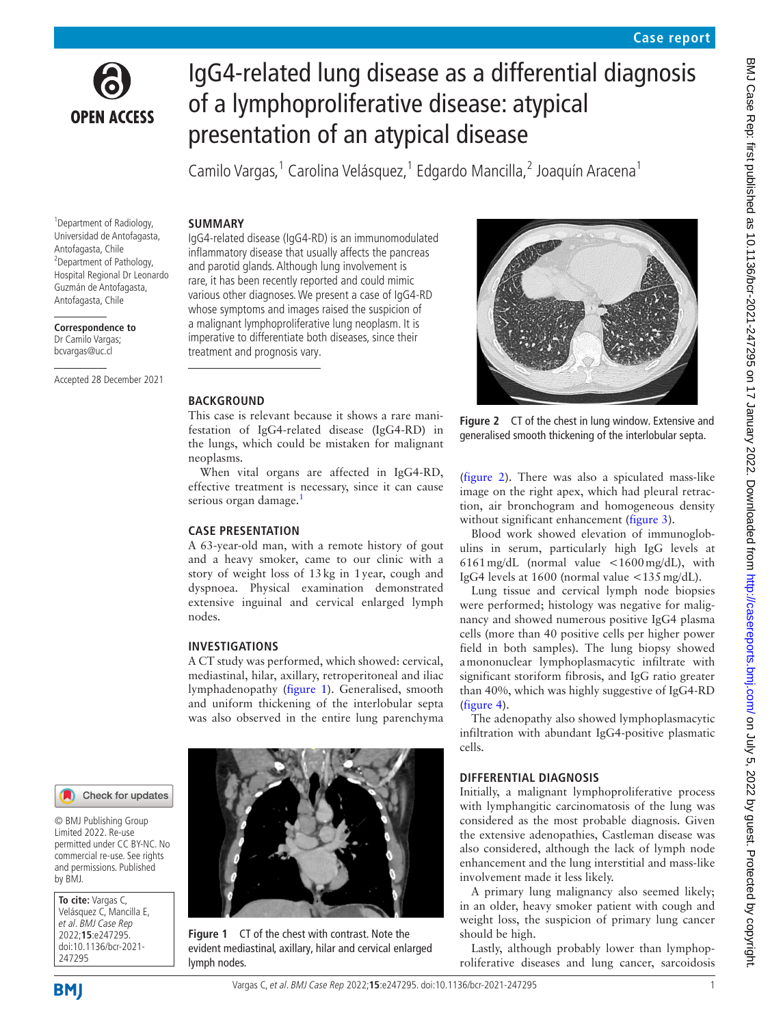

# IgG4-related lung disease as a differential diagnosis of a lymphoproliferative disease: atypical presentation of an atypical disease

Camilo Vargas,<sup>1</sup> Carolina Velásquez,<sup>1</sup> Edgardo Mancilla,<sup>2</sup> Joaquín Aracena<sup>1</sup>

#### **SUMMARY**

<sup>1</sup> Department of Radiology, Universidad de Antofagasta, Antofagasta, Chile <sup>2</sup>Department of Pathology, Hospital Regional Dr Leonardo Guzmán de Antofagasta, Antofagasta, Chile

**Correspondence to** Dr Camilo Vargas; bcvargas@uc.cl

Accepted 28 December 2021

## IgG4-related disease (IgG4-RD) is an immunomodulated inflammatory disease that usually affects the pancreas and parotid glands. Although lung involvement is rare, it has been recently reported and could mimic various other diagnoses. We present a case of IgG4-RD whose symptoms and images raised the suspicion of a malignant lymphoproliferative lung neoplasm. It is imperative to differentiate both diseases, since their treatment and prognosis vary.

#### **BACKGROUND**

This case is relevant because it shows a rare manifestation of IgG4-related disease (IgG4-RD) in the lungs, which could be mistaken for malignant neoplasms.

When vital organs are affected in IgG4-RD, effective treatment is necessary, since it can cause serious organ damage.<sup>[1](#page-2-0)</sup>

## **CASE PRESENTATION**

A 63-year-old man, with a remote history of gout and a heavy smoker, came to our clinic with a story of weight loss of 13kg in 1year, cough and dyspnoea. Physical examination demonstrated extensive inguinal and cervical enlarged lymph nodes.

## **INVESTIGATIONS**

A CT study was performed, which showed: cervical, mediastinal, hilar, axillary, retroperitoneal and iliac lymphadenopathy ([figure](#page-0-0) 1). Generalised, smooth and uniform thickening of the interlobular septa was also observed in the entire lung parenchyma



**Figure 1** CT of the chest with contrast. Note the evident mediastinal, axillary, hilar and cervical enlarged lymph nodes.



<span id="page-0-1"></span>**Figure 2** CT of the chest in lung window. Extensive and generalised smooth thickening of the interlobular septa.

([figure](#page-0-1) 2). There was also a spiculated mass-like image on the right apex, which had pleural retraction, air bronchogram and homogeneous density without significant enhancement ([figure](#page-1-0) 3).

Blood work showed elevation of immunoglobulins in serum, particularly high IgG levels at 6161mg/dL (normal value <1600mg/dL), with IgG4 levels at 1600 (normal value <135mg/dL).

Lung tissue and cervical lymph node biopsies were performed; histology was negative for malignancy and showed numerous positive IgG4 plasma cells (more than 40 positive cells per higher power field in both samples). The lung biopsy showed amononuclear lymphoplasmacytic infiltrate with significant storiform fibrosis, and IgG ratio greater than 40%, which was highly suggestive of IgG4-RD ([figure](#page-1-1) 4).

The adenopathy also showed lymphoplasmacytic infiltration with abundant IgG4-positive plasmatic cells.

## **DIFFERENTIAL DIAGNOSIS**

Initially, a malignant lymphoproliferative process with lymphangitic carcinomatosis of the lung was considered as the most probable diagnosis. Given the extensive adenopathies, Castleman disease was also considered, although the lack of lymph node enhancement and the lung interstitial and mass-like involvement made it less likely.

A primary lung malignancy also seemed likely; in an older, heavy smoker patient with cough and weight loss, the suspicion of primary lung cancer should be high.

Lastly, although probably lower than lymphoproliferative diseases and lung cancer, sarcoidosis

Check for updates

© BMJ Publishing Group Limited 2022. Re-use permitted under CC BY-NC. No commercial re-use. See rights and permissions. Published by BMJ.

<span id="page-0-0"></span>**To cite:** Vargas C, Velásquez C, Mancilla E, et al. BMJ Case Rep 2022;**15**:e247295. doi:10.1136/bcr-2021- 247295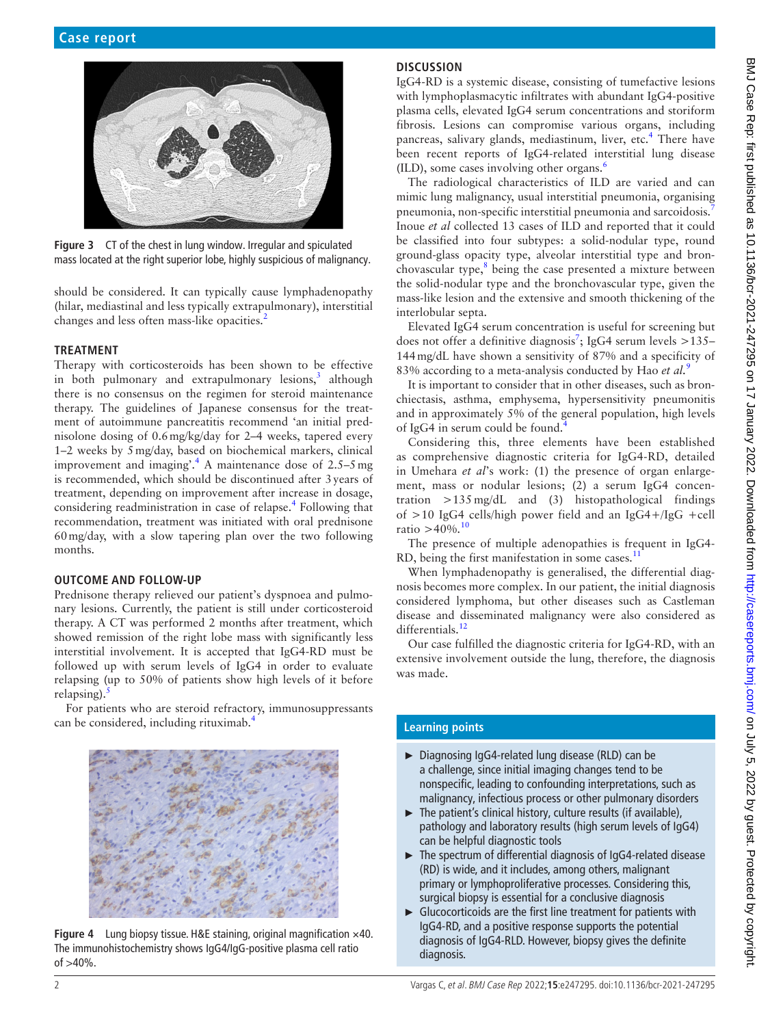

**Figure 3** CT of the chest in lung window. Irregular and spiculated mass located at the right superior lobe, highly suspicious of malignancy.

<span id="page-1-0"></span>should be considered. It can typically cause lymphadenopathy (hilar, mediastinal and less typically extrapulmonary), interstitial changes and less often mass-like opacities.<sup>[2](#page-2-1)</sup>

#### **TREATMENT**

Therapy with corticosteroids has been shown to be effective in both pulmonary and extrapulmonary lesions,<sup>[3](#page-2-2)</sup> although there is no consensus on the regimen for steroid maintenance therapy. The guidelines of Japanese consensus for the treatment of autoimmune pancreatitis recommend 'an initial prednisolone dosing of 0.6mg/kg/day for 2–4 weeks, tapered every 1–2 weeks by 5mg/day, based on biochemical markers, clinical improvement and imaging'.<sup>[4](#page-2-3)</sup> A maintenance dose of  $2.5-5$  mg is recommended, which should be discontinued after 3years of treatment, depending on improvement after increase in dosage, considering readministration in case of relapse.<sup>[4](#page-2-3)</sup> Following that recommendation, treatment was initiated with oral prednisone 60mg/day, with a slow tapering plan over the two following months.

#### **OUTCOME AND FOLLOW-UP**

Prednisone therapy relieved our patient's dyspnoea and pulmonary lesions. Currently, the patient is still under corticosteroid therapy. A CT was performed 2 months after treatment, which showed remission of the right lobe mass with significantly less interstitial involvement. It is accepted that IgG4-RD must be followed up with serum levels of IgG4 in order to evaluate relapsing (up to 50% of patients show high levels of it before relapsing).

For patients who are steroid refractory, immunosuppressants can be considered, including rituximab.<sup>4</sup>

<span id="page-1-1"></span>

**Figure 4** Lung biopsy tissue. H&E staining, original magnification ×40. The immunohistochemistry shows IgG4/IgG-positive plasma cell ratio of >40%.

## **DISCUSSION**

IgG4-RD is a systemic disease, consisting of tumefactive lesions with lymphoplasmacytic infiltrates with abundant IgG4-positive plasma cells, elevated IgG4 serum concentrations and storiform fibrosis. Lesions can compromise various organs, including pancreas, salivary glands, mediastinum, liver, etc.<sup>[4](#page-2-3)</sup> There have been recent reports of IgG4-related interstitial lung disease (ILD), some cases involving other organs.[6](#page-2-5)

The radiological characteristics of ILD are varied and can mimic lung malignancy, usual interstitial pneumonia, organising pneumonia, non-specific interstitial pneumonia and sarcoidosis.[7](#page-2-6) Inoue *et al* collected 13 cases of ILD and reported that it could be classified into four subtypes: a solid-nodular type, round ground-glass opacity type, alveolar interstitial type and bronchovascular type, $8$  being the case presented a mixture between the solid-nodular type and the bronchovascular type, given the mass-like lesion and the extensive and smooth thickening of the interlobular septa.

Elevated IgG4 serum concentration is useful for screening but does not offer a definitive diagnosis<sup>[7](#page-2-6)</sup>; IgG4 serum levels >135– 144mg/dL have shown a sensitivity of 87% and a specificity of 83% according to a meta-analysis conducted by Hao *et al.*[9](#page-2-8)

It is important to consider that in other diseases, such as bronchiectasis, asthma, emphysema, hypersensitivity pneumonitis and in approximately 5% of the general population, high levels of IgG[4](#page-2-3) in serum could be found.<sup>4</sup>

Considering this, three elements have been established as comprehensive diagnostic criteria for IgG4-RD, detailed in Umehara *et al*'s work: (1) the presence of organ enlargement, mass or nodular lesions; (2) a serum IgG4 concentration  $>135 \text{ mg/dL}$  and (3) histopathological findings of >10 IgG4 cells/high power field and an IgG4+/IgG +cell ratio  $>40\%$ .<sup>[10](#page-2-9)</sup>

The presence of multiple adenopathies is frequent in IgG4- RD, being the first manifestation in some cases. $<sup>1</sup>$ </sup>

When lymphadenopathy is generalised, the differential diagnosis becomes more complex. In our patient, the initial diagnosis considered lymphoma, but other diseases such as Castleman disease and disseminated malignancy were also considered as differentials.<sup>12</sup>

Our case fulfilled the diagnostic criteria for IgG4-RD, with an extensive involvement outside the lung, therefore, the diagnosis was made.

# **Learning points**

- ► Diagnosing IgG4-related lung disease (RLD) can be a challenge, since initial imaging changes tend to be nonspecific, leading to confounding interpretations, such as malignancy, infectious process or other pulmonary disorders
- ► The patient's clinical history, culture results (if available), pathology and laboratory results (high serum levels of IgG4) can be helpful diagnostic tools
- ► The spectrum of differential diagnosis of IgG4-related disease (RD) is wide, and it includes, among others, malignant primary or lymphoproliferative processes. Considering this, surgical biopsy is essential for a conclusive diagnosis
- ► Glucocorticoids are the first line treatment for patients with IgG4-RD, and a positive response supports the potential diagnosis of IgG4-RLD. However, biopsy gives the definite diagnosis.